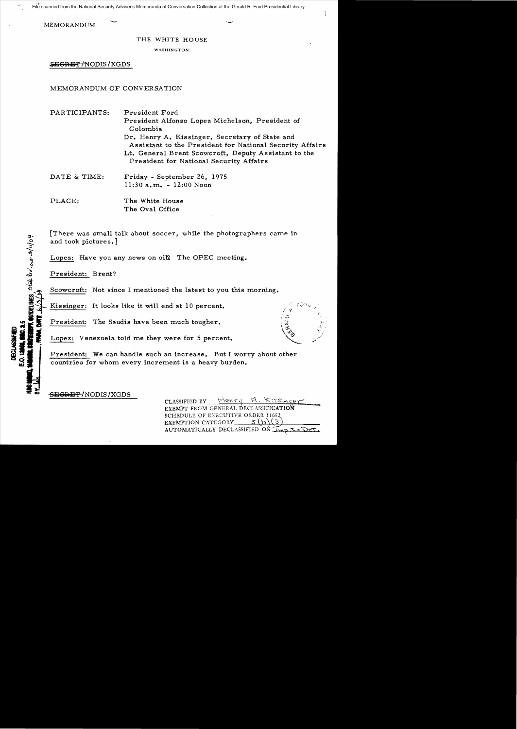File scanned from the National Security Adviser's Memoranda of Conversation Collection at the Gerald R. Ford Presidential Library

**MEMORANDUM** 

### THE WHITE HOUSE

WASHINGTON

SEGRET/NODIS/XGDS

## MEMORANDUM OF CONVERSATION

PARTICIPANTS: President Ford President Alfonso Lopez Michelson, President of Colombia Dr. Henry A. Kissinger, Secretary of State and Assistant to the President for National Security Affairs Lt. General Brent Scowcroft, Deputy Assistant to the President for National Security Affairs DATE & TIME: Friday - September 26, 1975 11:30 a. m. - 12:00 Noon

PLACE: The White House The Oval Office

[There was small talk about soccer, while the photographers came in and took pictures.]

Lopez: Have you any news on oil? The OPEC meeting.

President: Brent?

Scowcroft: Not since I mentioned the latest to you this morning.

Kissinger: It looks like it will end at 10 percent.

President: The Saudis have been much tougher.

Lopez: Venezuela told me they were for 5 percent.

President: We can handle such an increase. But I worry about other countries for whom every increment is a heavy burden.

SEGRET-/NODIS / XGDS

CLASSIFIED BY  $\frac{1}{\sqrt{e^{\kappa}}}$   $\frac{1}{\sqrt{e^{\kappa}}}$ EXEMPT FROM GENERAL DECLASSIFICATION **SCHEDULE OF EXECUTIVE ORDER 11652**<br>**EXEMPTION CATEGORY**  $S(\textbf{b})$  (3) EXEMPTION CATEGORY AUTOMATICALLY DECLASSIFIED ON  $\overline{\perp}_{m}$ ,  $\overline{\perp}$  .  $\overline{\perp}$ 

**HDELINES** State by car s/11/04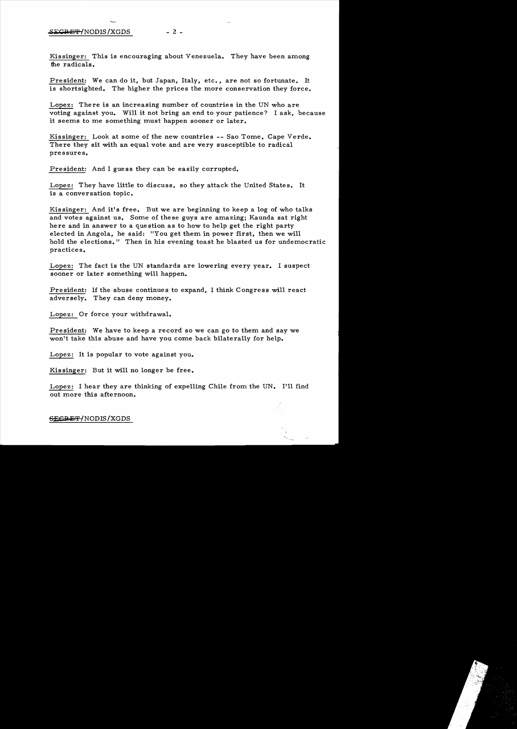### $SEGREF/NODIS/XGDS$  - 2 -

Kissinger: This is encouraging about Venezuela. They have been among the radicals.

President: We can do it, but Japan, Italy, etc., are not so fortunate. It is shortsighted. The higher the prices the more conservation they force.

Lopez: There is an increasing number of countries in the UN who are voting against you. Will it not bring an end to your patience? I ask, because it seems to me something must happen sooner or later.

Kissinger: Look at some of the new countries -- Sao Tome, Cape Verde. There they sit with an equal vote and are very susceptible to radical pressures.

President: And I guess they can be easily corrupted.

Lopez: They have little to discuss, so they attack the United States. It is a conversation topic.

Kis singer: And it's free. But we are beginning to keep a log of who talks and votes against us. Some of these guys are amazing; Kaunda sat right here and in answer to a question as to how to help get the right party elected in Angola, he said: "You get them in power first, then we will hold the elections." Then in his evening toast he blasted us for undemocratic practices.

Lopez: The fact is the UN standards are lowering every year. I suspect sooner or later something will happen.

President: If the abuse continues to expand, I think Congress will react adversely. They can deny money.

Lopez: Or force your withdrawal.

President: We have to keep a record so we can go to them and say we won't take this abuse and have you come back bilaterally for help.

Lopez: It is popular to vote against you.

Kissinger: But it will no longer be free.

Lopez: I hear they are thinking of expelling Chile from the UN. I'll find out more this afternoon.

-SECPE'F *INODIS* /XGDS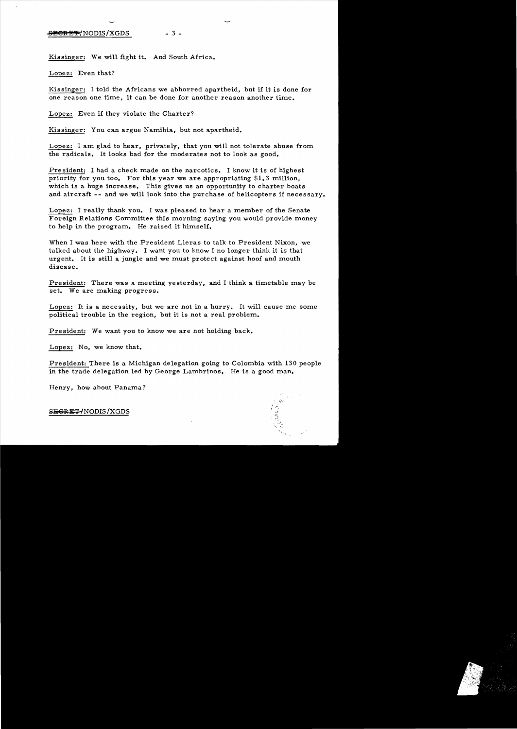#### $\frac{1}{2}$   $\frac{1}{2}$   $\frac{1}{2}$   $\frac{1}{2}$   $\frac{1}{2}$   $\frac{1}{2}$   $\frac{1}{2}$   $\frac{1}{2}$   $\frac{1}{2}$   $\frac{1}{2}$   $\frac{1}{2}$   $\frac{1}{2}$   $\frac{1}{2}$   $\frac{1}{2}$   $\frac{1}{2}$   $\frac{1}{2}$   $\frac{1}{2}$   $\frac{1}{2}$   $\frac{1}{2}$   $\frac{1}{2}$   $\frac{1}{2}$   $\frac{1}{2}$

Kissinger: We will fight it. And South Africa.

Lopez: Even that?

Kissinger: I told the Africans we abhorred apartheid, but if it is done for one reason one time, it can be done for another reason another time.

Lopez: Even if they violate the Charter?

Kissinger: You can argue Namibia, but not apartheid.

Lopez: I am glad to hear, privately, that you will not tolerate abuse from. the radicals. It looks bad for the moderates not to look as good.

President: I had a check made on the narcotics. I know it is of highest priority for you too. For this year we are appropriating  $$1, 3$  million, which is a huge increase. This gives us an opportunity to charter boats and aircraft -- and we will look into the purchase of helicopters if necessary.

Lopez: I really thank you. I was pleased to hear a member of the Senate Foreign Relations Committee this morning saying you would provide money to help in the program. He raised it himself.

When I was here with the President Lleras to talk to President Nixon, we talked about the highway. I want you to know I no longer think it is that urgent. It is still a jungle and we must protect against hoof and mouth disease.

President: There was a meeting yesterday, and I think a timetable may be set. We are making progress.

Lopez: It is a necessity, but we are not in a hurry. It will cause me some political trouble in the region, but it is not a real problem..

President: We want you to know we are not holding back.

Lopez: No, we know that.

President: There is a Michigan delegation going to Colombia with 130 people in the trade delegation led by George Lambrinos. He is a good man.

Henry, how about Panama?

SEGRET-INODIS/XGDS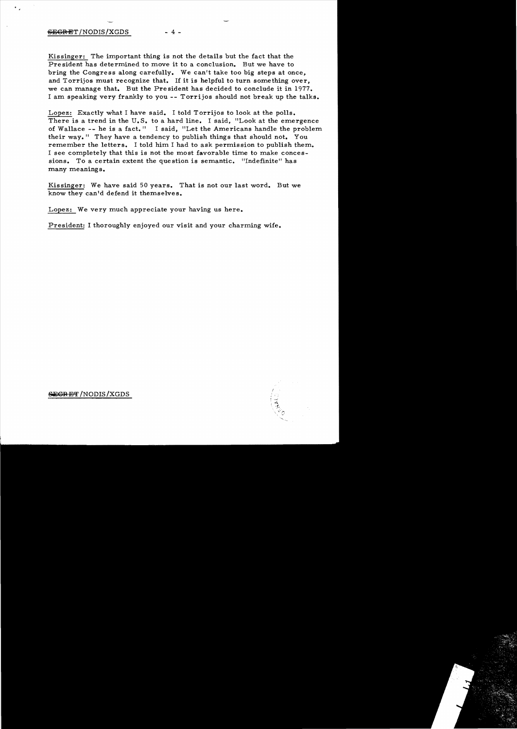# $-4 -$

Kissinger: The important thing is not the details but the fact that the Pre sident has determined to move it to a conclusion. But we have to bring the Congress along carefully. We can't take too big steps at once, and Torrijos must recognize that. If it is helpful to turn something over, we can manage that. But the President has decided to conclude it in 1977. I am speaking very frankly to you -- Torrijos should not break up the talks.

Lopez: Exactly what I have said. I told Torrijos to look at the polls. There is a trend in the U.S. to a hard line. I said, "Look at the emergence of Wallace -- he is a fact." I said, "Let the Americans handle the problem their way." They have a tendency to publish things that should not. You remember the letters. I told him I had to ask permission to publish them. I see completely that this is not the most favorable time to make conces sions. To a certain extent the question is semantic. "Indefinite" has many meanings.

Kissinger: We have said 50 years. That is not our last word. But we know they can'd defend it themselves.

Lopez: We very much appreciate your having us here.

President: I thoroughly enjoyed our visit and your charming wife.



SEGRET /NODIS / XGDS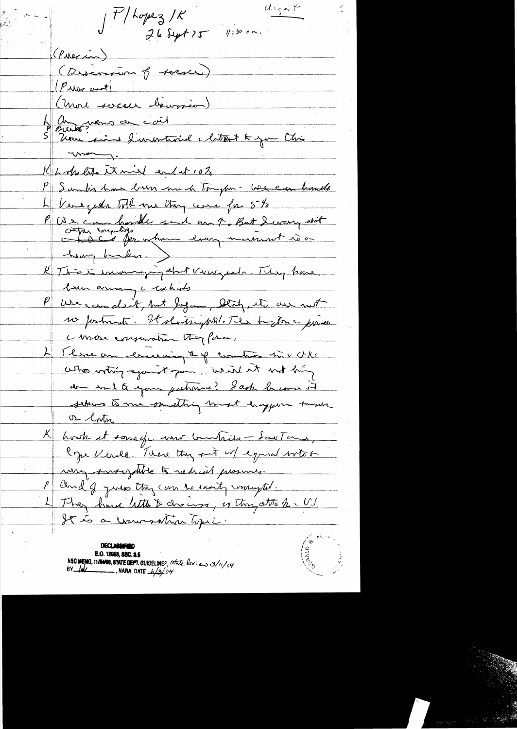$J$ P/Lopez/K<br>26 Sept 75 1:30 am.  $u_{\mathsf{xy}}$  $(\rho_{\text{M}})$ (Discovent france) (Priss and l'autres démandeur) 4 Mars 12 Coil 11 de la 1907 avril 1908 Khokets it mind endat 10% P Sambis have been ment tompler - We can handle L'Ueregida toll me they used for 5 to P We can havele suit our 7, But Sivary out heavy bushes.) K This is inversing about viere pour. They have P we can don't, but Joyan, blody, it are not no postmata. Il shorts public The bigton messine conose expending they force, 4 Three am ericinaig # of contro no v U/4 who wthis exact you. What it was big don soul to goon patronic? Lack become it sekus to me parathing most happen town <u>or latur</u> K hosk at some of me compile - Sartame, Cype Verde, There they fit w/ equil with a my suscriptive to radial presences. and of yours they can be easily mongher. 4 They have letters discuss, es this attach - US It is a universition topic.

E.O. 12058, SEC. 3.5 NSC MEMO, 11/24/08, STATE DEPT. GUIDELINES, State leview 3/11/04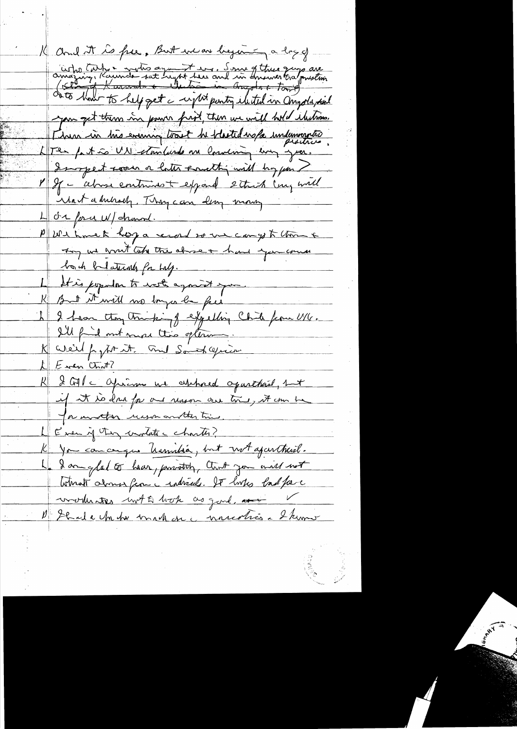11 and it is free, But we are beginning a long of arressing, Roumde sat supt here and in Insurance are you get them in power front, then we will hold thetimes. Linn in très evenir tout de thetedrope indemnation LTer fast a UN stanlande one lowering every year Impet soon a later sancthy will hoppen ? M If - alone contrins to expand 2 think (my will Wait adulrach. They can lear money 4 dr foru W/ channel. PUShmek hop a record so une can yo to this is They we good take the above + had you come both belations for half. 1 It is popular to note against you K But it will no longer be feel 1 2 have they trucking expelling Chile from UVG. I'll find out more this opter K We'll papt it. and Sometagrin. LE ven CLN7 R & GM c Opien ne esthaed oparthand, but if it is dans for one reason our twie, it can be for involtar wason another time Even if they unitate charter? K You can cerque hassistée, but not aparthésé. 1. I am glad to hear, providely, that you and not Winat along from a raticals. It looks bad face worker with hop as gond, and D'Ibade Un to mak en connection 2 km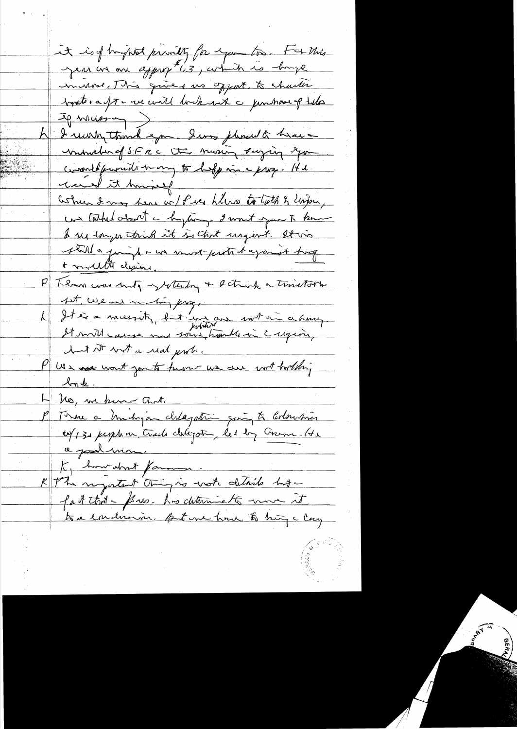it is of happed providing for expose too. For this Jean on an appropté ; arbitré de bouge inverse, This gives us offert, to charter topoter a forme und lockered a permission of teles A I winn think you. Sino pleased there unimation of SERC Ut moning suging sym commedificant many to hopping - He recent it howing un tarted about a hytogen 2 won't your to know I see longer trick it is that urgent. It vis still a juift - un must protect against trough P Temme was unto - which + schick a trinstatte set, use and in this page L'It is a messitz, but un aux sout un a hours but it wit a real prob. PU n assement you to hum we are withouthing <u>lont</u>. No, we know that. P Terme a ménépoin chalagatri qui te Corbustion K, how don't famous. K the negotant thing is vote details hut fait that - fews. his determinents more it. to a emiliarion. Automa home to hing clay